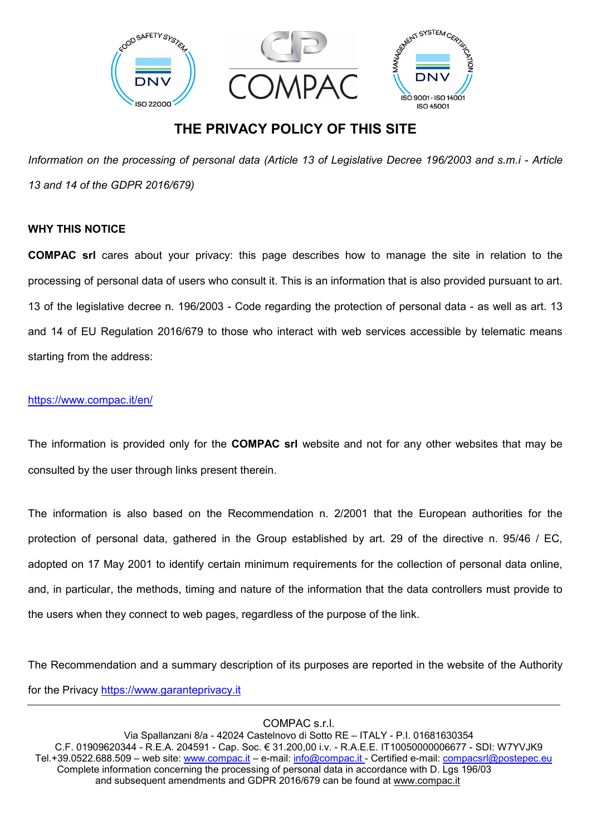

# **THE PRIVACY POLICY OF THIS SITE**

*Information on the processing of personal data (Article 13 of Legislative Decree 196/2003 and s.m.i - Article 13 and 14 of the GDPR 2016/679)*

# **WHY THIS NOTICE**

**COMPAC srl** cares about your privacy: this page describes how to manage the site in relation to the processing of personal data of users who consult it. This is an information that is also provided pursuant to art. 13 of the legislative decree n. 196/2003 - Code regarding the protection of personal data - as well as art. 13 and 14 of EU Regulation 2016/679 to those who interact with web services accessible by telematic means starting from the address:

### <https://www.compac.it/en/>

The information is provided only for the **COMPAC srl** website and not for any other websites that may be consulted by the user through links present therein.

The information is also based on the Recommendation n. 2/2001 that the European authorities for the protection of personal data, gathered in the Group established by art. 29 of the directive n. 95/46 / EC, adopted on 17 May 2001 to identify certain minimum requirements for the collection of personal data online, and, in particular, the methods, timing and nature of the information that the data controllers must provide to the users when they connect to web pages, regardless of the purpose of the link.

The Recommendation and a summary description of its purposes are reported in the website of the Authority for the Privacy [https://www.garanteprivacy.it](https://www.garanteprivacy.it/)

COMPAC s.r.l.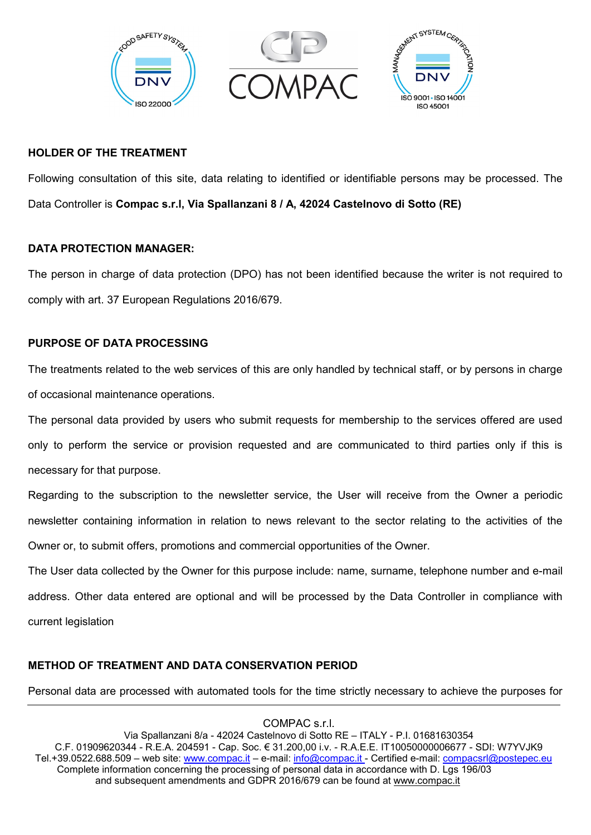

### **HOLDER OF THE TREATMENT**

Following consultation of this site, data relating to identified or identifiable persons may be processed. The Data Controller is **Compac s.r.l, Via Spallanzani 8 / A, 42024 Castelnovo di Sotto (RE)**

# **DATA PROTECTION MANAGER:**

The person in charge of data protection (DPO) has not been identified because the writer is not required to comply with art. 37 European Regulations 2016/679.

# **PURPOSE OF DATA PROCESSING**

The treatments related to the web services of this are only handled by technical staff, or by persons in charge of occasional maintenance operations.

The personal data provided by users who submit requests for membership to the services offered are used only to perform the service or provision requested and are communicated to third parties only if this is necessary for that purpose.

Regarding to the subscription to the newsletter service, the User will receive from the Owner a periodic newsletter containing information in relation to news relevant to the sector relating to the activities of the Owner or, to submit offers, promotions and commercial opportunities of the Owner.

The User data collected by the Owner for this purpose include: name, surname, telephone number and e-mail address. Other data entered are optional and will be processed by the Data Controller in compliance with current legislation

### **METHOD OF TREATMENT AND DATA CONSERVATION PERIOD**

Personal data are processed with automated tools for the time strictly necessary to achieve the purposes for

COMPAC s.r.l. Via Spallanzani 8/a - 42024 Castelnovo di Sotto RE – ITALY - P.I. 01681630354 C.F. 01909620344 - R.E.A. 204591 - Cap. Soc. € 31.200,00 i.v. - R.A.E.E. IT10050000006677 - SDI: W7YVJK9 Tel.+39.0522.688.509 – web site: [www.compac.it](http://www.compac.it/) – e-mail: [info@compac.it](mailto:info@compac.it) - Certified e-mail: [compacsrl@postepec.eu](mailto:compacsrl@postepec.eu) Complete information concerning the processing of personal data in accordance with D. Lgs 196/03 and subsequent amendments and GDPR 2016/679 can be found at [www.compac.it](http://www.compac.it/)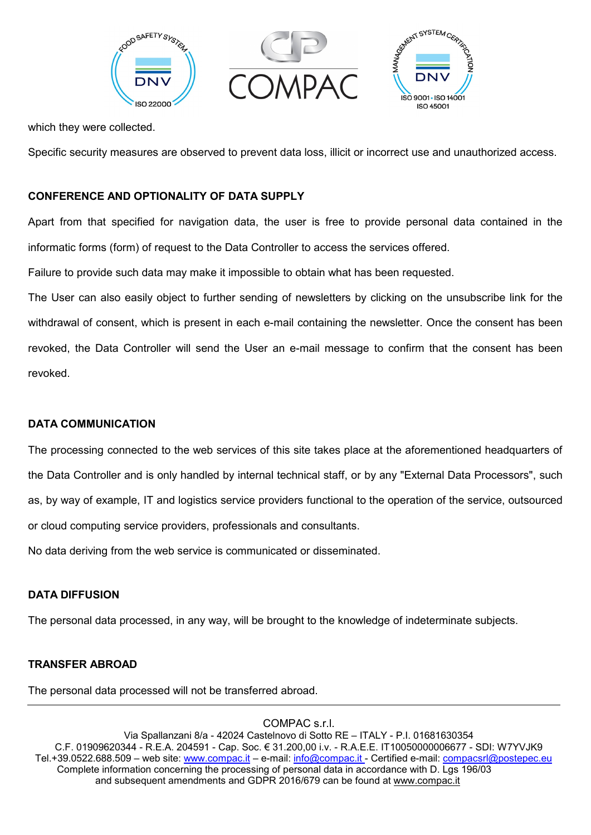

which they were collected.

Specific security measures are observed to prevent data loss, illicit or incorrect use and unauthorized access.

# **CONFERENCE AND OPTIONALITY OF DATA SUPPLY**

Apart from that specified for navigation data, the user is free to provide personal data contained in the informatic forms (form) of request to the Data Controller to access the services offered.

Failure to provide such data may make it impossible to obtain what has been requested.

The User can also easily object to further sending of newsletters by clicking on the unsubscribe link for the withdrawal of consent, which is present in each e-mail containing the newsletter. Once the consent has been revoked, the Data Controller will send the User an e-mail message to confirm that the consent has been revoked.

### **DATA COMMUNICATION**

The processing connected to the web services of this site takes place at the aforementioned headquarters of the Data Controller and is only handled by internal technical staff, or by any "External Data Processors", such as, by way of example, IT and logistics service providers functional to the operation of the service, outsourced or cloud computing service providers, professionals and consultants.

No data deriving from the web service is communicated or disseminated.

# **DATA DIFFUSION**

The personal data processed, in any way, will be brought to the knowledge of indeterminate subjects.

### **TRANSFER ABROAD**

The personal data processed will not be transferred abroad.

COMPAC s.r.l.

Via Spallanzani 8/a - 42024 Castelnovo di Sotto RE – ITALY - P.I. 01681630354 C.F. 01909620344 - R.E.A. 204591 - Cap. Soc. € 31.200,00 i.v. - R.A.E.E. IT10050000006677 - SDI: W7YVJK9 Tel.+39.0522.688.509 – web site: [www.compac.it](http://www.compac.it/) – e-mail: [info@compac.it](mailto:info@compac.it) - Certified e-mail: [compacsrl@postepec.eu](mailto:compacsrl@postepec.eu) Complete information concerning the processing of personal data in accordance with D. Lgs 196/03 and subsequent amendments and GDPR 2016/679 can be found at [www.compac.it](http://www.compac.it/)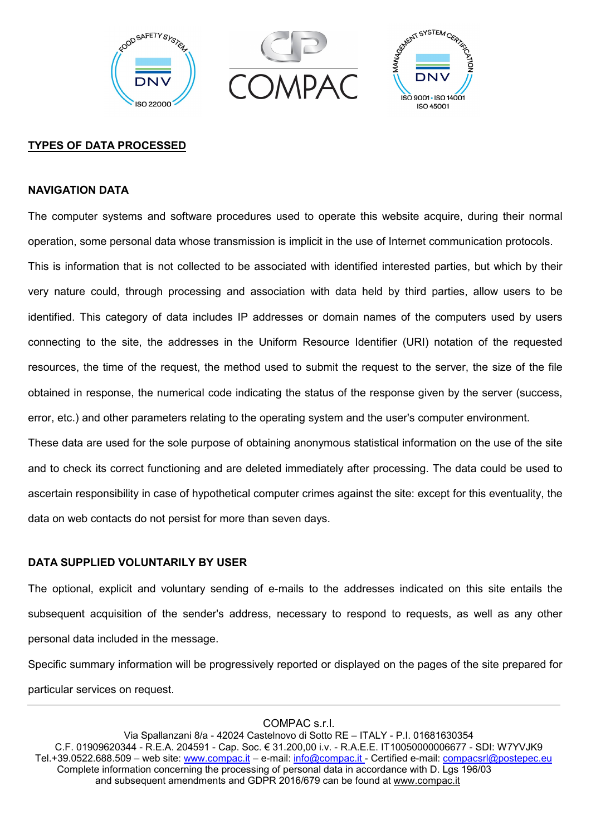

### **TYPES OF DATA PROCESSED**

#### **NAVIGATION DATA**

The computer systems and software procedures used to operate this website acquire, during their normal operation, some personal data whose transmission is implicit in the use of Internet communication protocols. This is information that is not collected to be associated with identified interested parties, but which by their very nature could, through processing and association with data held by third parties, allow users to be identified. This category of data includes IP addresses or domain names of the computers used by users connecting to the site, the addresses in the Uniform Resource Identifier (URI) notation of the requested resources, the time of the request, the method used to submit the request to the server, the size of the file obtained in response, the numerical code indicating the status of the response given by the server (success, error, etc.) and other parameters relating to the operating system and the user's computer environment.

These data are used for the sole purpose of obtaining anonymous statistical information on the use of the site and to check its correct functioning and are deleted immediately after processing. The data could be used to ascertain responsibility in case of hypothetical computer crimes against the site: except for this eventuality, the data on web contacts do not persist for more than seven days.

### **DATA SUPPLIED VOLUNTARILY BY USER**

The optional, explicit and voluntary sending of e-mails to the addresses indicated on this site entails the subsequent acquisition of the sender's address, necessary to respond to requests, as well as any other personal data included in the message.

Specific summary information will be progressively reported or displayed on the pages of the site prepared for particular services on request.

COMPAC s.r.l.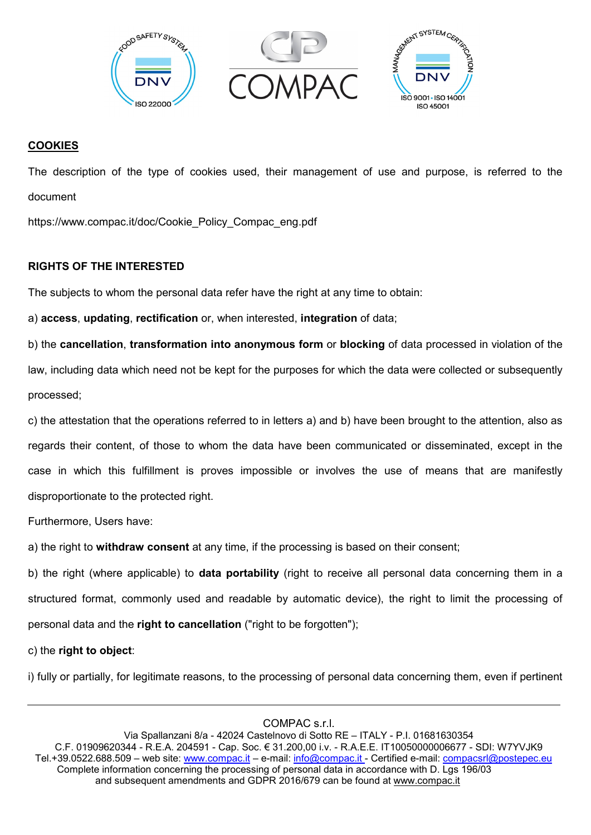

# **COOKIES**

The description of the type of cookies used, their management of use and purpose, is referred to the document

https://www.compac.it/doc/Cookie\_Policy\_Compac\_eng.pdf

# **RIGHTS OF THE INTERESTED**

The subjects to whom the personal data refer have the right at any time to obtain:

a) **access**, **updating**, **rectification** or, when interested, **integration** of data;

b) the **cancellation**, **transformation into anonymous form** or **blocking** of data processed in violation of the law, including data which need not be kept for the purposes for which the data were collected or subsequently processed;

c) the attestation that the operations referred to in letters a) and b) have been brought to the attention, also as regards their content, of those to whom the data have been communicated or disseminated, except in the case in which this fulfillment is proves impossible or involves the use of means that are manifestly disproportionate to the protected right.

Furthermore, Users have:

a) the right to **withdraw consent** at any time, if the processing is based on their consent;

b) the right (where applicable) to **data portability** (right to receive all personal data concerning them in a structured format, commonly used and readable by automatic device), the right to limit the processing of personal data and the **right to cancellation** ("right to be forgotten");

c) the **right to object**:

i) fully or partially, for legitimate reasons, to the processing of personal data concerning them, even if pertinent

COMPAC s.r.l.